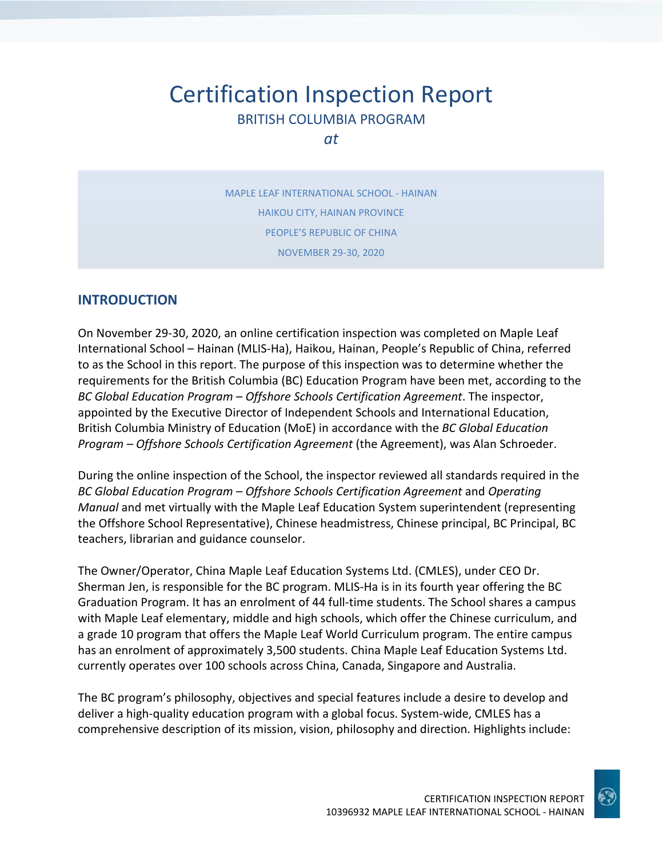# Certification Inspection Report BRITISH COLUMBIA PROGRAM

*at*

MAPLE LEAF INTERNATIONAL SCHOOL - HAINAN HAIKOU CITY, HAINAN PROVINCE PEOPLE'S REPUBLIC OF CHINA NOVEMBER 29-30, 2020

#### **INTRODUCTION**

On November 29-30, 2020, an online certification inspection was completed on Maple Leaf International School – Hainan (MLIS-Ha), Haikou, Hainan, People's Republic of China, referred to as the School in this report. The purpose of this inspection was to determine whether the requirements for the British Columbia (BC) Education Program have been met, according to the *BC Global Education Program – Offshore Schools Certification Agreement*. The inspector, appointed by the Executive Director of Independent Schools and International Education, British Columbia Ministry of Education (MoE) in accordance with the *BC Global Education Program – Offshore Schools Certification Agreement* (the Agreement), was Alan Schroeder.

During the online inspection of the School, the inspector reviewed all standards required in the *BC Global Education Program – Offshore Schools Certification Agreement* and *Operating Manual* and met virtually with the Maple Leaf Education System superintendent (representing the Offshore School Representative), Chinese headmistress, Chinese principal, BC Principal, BC teachers, librarian and guidance counselor.

The Owner/Operator, China Maple Leaf Education Systems Ltd. (CMLES), under CEO Dr. Sherman Jen, is responsible for the BC program. MLIS-Ha is in its fourth year offering the BC Graduation Program. It has an enrolment of 44 full-time students. The School shares a campus with Maple Leaf elementary, middle and high schools, which offer the Chinese curriculum, and a grade 10 program that offers the Maple Leaf World Curriculum program. The entire campus has an enrolment of approximately 3,500 students. China Maple Leaf Education Systems Ltd. currently operates over 100 schools across China, Canada, Singapore and Australia.

The BC program's philosophy, objectives and special features include a desire to develop and deliver a high-quality education program with a global focus. System-wide, CMLES has a comprehensive description of its mission, vision, philosophy and direction. Highlights include:

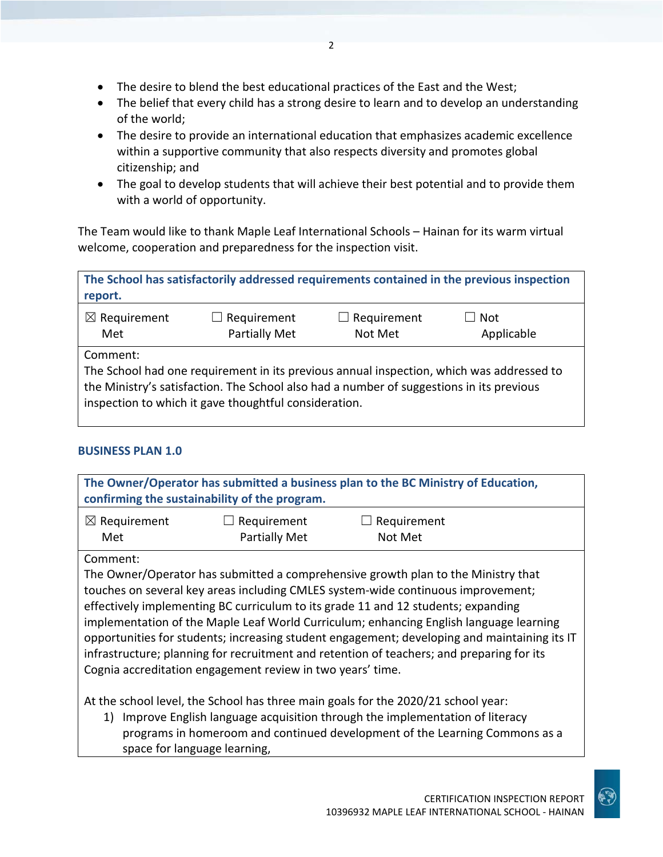- The desire to blend the best educational practices of the East and the West;
- The belief that every child has a strong desire to learn and to develop an understanding of the world;
- The desire to provide an international education that emphasizes academic excellence within a supportive community that also respects diversity and promotes global citizenship; and
- The goal to develop students that will achieve their best potential and to provide them with a world of opportunity.

The Team would like to thank Maple Leaf International Schools – Hainan for its warm virtual welcome, cooperation and preparedness for the inspection visit.

| report.                        |                                                                                                                                                                                                                                               |                               | The School has satisfactorily addressed requirements contained in the previous inspection |
|--------------------------------|-----------------------------------------------------------------------------------------------------------------------------------------------------------------------------------------------------------------------------------------------|-------------------------------|-------------------------------------------------------------------------------------------|
| $\boxtimes$ Requirement<br>Met | $\Box$ Requirement<br><b>Partially Met</b>                                                                                                                                                                                                    | $\Box$ Requirement<br>Not Met | Not<br>Applicable                                                                         |
| Comment:                       | The School had one requirement in its previous annual inspection, which was addressed to<br>the Ministry's satisfaction. The School also had a number of suggestions in its previous<br>inspection to which it gave thoughtful consideration. |                               |                                                                                           |

#### **BUSINESS PLAN 1.0**

|                                                            | confirming the sustainability of the program. | The Owner/Operator has submitted a business plan to the BC Ministry of Education,            |  |
|------------------------------------------------------------|-----------------------------------------------|----------------------------------------------------------------------------------------------|--|
| $\boxtimes$ Requirement                                    | $\Box$ Requirement                            | $\Box$ Requirement                                                                           |  |
| Met                                                        | <b>Partially Met</b>                          | Not Met                                                                                      |  |
| Comment:                                                   |                                               |                                                                                              |  |
|                                                            |                                               | The Owner/Operator has submitted a comprehensive growth plan to the Ministry that            |  |
|                                                            |                                               | touches on several key areas including CMLES system-wide continuous improvement;             |  |
|                                                            |                                               | effectively implementing BC curriculum to its grade 11 and 12 students; expanding            |  |
|                                                            |                                               | implementation of the Maple Leaf World Curriculum; enhancing English language learning       |  |
|                                                            |                                               | opportunities for students; increasing student engagement; developing and maintaining its IT |  |
|                                                            |                                               | infrastructure; planning for recruitment and retention of teachers; and preparing for its    |  |
| Cognia accreditation engagement review in two years' time. |                                               |                                                                                              |  |
|                                                            |                                               |                                                                                              |  |
|                                                            |                                               | At the school level, the School has three main goals for the 2020/21 school year:            |  |
|                                                            |                                               | 1) Improve English language acquisition through the implementation of literacy               |  |

iguage acquisition through the implementation or literacy programs in homeroom and continued development of the Learning Commons as a space for language learning,

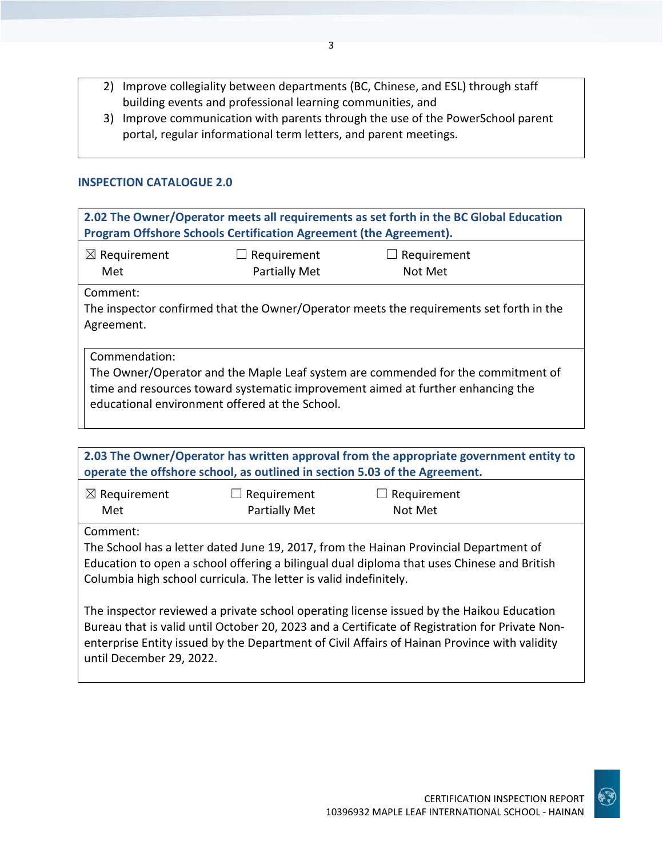- 2) Improve collegiality between departments (BC, Chinese, and ESL) through staff building events and professional learning communities, and
- 3) Improve communication with parents through the use of the PowerSchool parent portal, regular informational term letters, and parent meetings.

#### **INSPECTION CATALOGUE 2.0**

| 2.02 The Owner/Operator meets all requirements as set forth in the BC Global Education<br>Program Offshore Schools Certification Agreement (the Agreement). |                                                |                                                                                                                                                                     |
|-------------------------------------------------------------------------------------------------------------------------------------------------------------|------------------------------------------------|---------------------------------------------------------------------------------------------------------------------------------------------------------------------|
| $\boxtimes$ Requirement<br>Met                                                                                                                              | Requirement<br><b>Partially Met</b>            | Requirement<br>Not Met                                                                                                                                              |
| Comment:<br>Agreement.                                                                                                                                      |                                                | The inspector confirmed that the Owner/Operator meets the requirements set forth in the                                                                             |
| Commendation:                                                                                                                                               | educational environment offered at the School. | The Owner/Operator and the Maple Leaf system are commended for the commitment of<br>time and resources toward systematic improvement aimed at further enhancing the |

|                                | operate the offshore school, as outlined in section 5.03 of the Agreement. | 2.03 The Owner/Operator has written approval from the appropriate government entity to                                                                                                                                                                                                     |  |
|--------------------------------|----------------------------------------------------------------------------|--------------------------------------------------------------------------------------------------------------------------------------------------------------------------------------------------------------------------------------------------------------------------------------------|--|
| $\boxtimes$ Requirement<br>Met | $\Box$ Requirement<br><b>Partially Met</b>                                 | $\Box$ Requirement<br>Not Met                                                                                                                                                                                                                                                              |  |
| Comment:                       | Columbia high school curricula. The letter is valid indefinitely.          | The School has a letter dated June 19, 2017, from the Hainan Provincial Department of<br>Education to open a school offering a bilingual dual diploma that uses Chinese and British                                                                                                        |  |
| until December 29, 2022.       |                                                                            | The inspector reviewed a private school operating license issued by the Haikou Education<br>Bureau that is valid until October 20, 2023 and a Certificate of Registration for Private Non-<br>enterprise Entity issued by the Department of Civil Affairs of Hainan Province with validity |  |

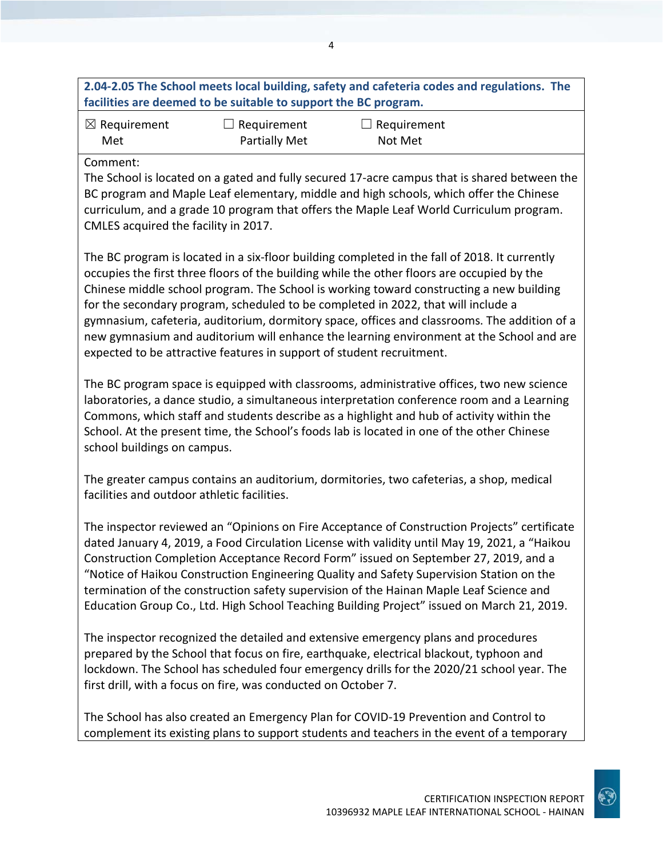| 2.04-2.05 The School meets local building, safety and cafeteria codes and regulations. The |  |
|--------------------------------------------------------------------------------------------|--|
| facilities are deemed to be suitable to support the BC program.                            |  |

| $\boxtimes$ Requirement | $\Box$ Requirement   | $\Box$ Requirement |
|-------------------------|----------------------|--------------------|
| Met                     | <b>Partially Met</b> | Not Met            |

#### Comment:

The School is located on a gated and fully secured 17-acre campus that is shared between the BC program and Maple Leaf elementary, middle and high schools, which offer the Chinese curriculum, and a grade 10 program that offers the Maple Leaf World Curriculum program. CMLES acquired the facility in 2017.

The BC program is located in a six-floor building completed in the fall of 2018. It currently occupies the first three floors of the building while the other floors are occupied by the Chinese middle school program. The School is working toward constructing a new building for the secondary program, scheduled to be completed in 2022, that will include a gymnasium, cafeteria, auditorium, dormitory space, offices and classrooms. The addition of a new gymnasium and auditorium will enhance the learning environment at the School and are expected to be attractive features in support of student recruitment.

The BC program space is equipped with classrooms, administrative offices, two new science laboratories, a dance studio, a simultaneous interpretation conference room and a Learning Commons, which staff and students describe as a highlight and hub of activity within the School. At the present time, the School's foods lab is located in one of the other Chinese school buildings on campus.

The greater campus contains an auditorium, dormitories, two cafeterias, a shop, medical facilities and outdoor athletic facilities.

The inspector reviewed an "Opinions on Fire Acceptance of Construction Projects" certificate dated January 4, 2019, a Food Circulation License with validity until May 19, 2021, a "Haikou Construction Completion Acceptance Record Form" issued on September 27, 2019, and a "Notice of Haikou Construction Engineering Quality and Safety Supervision Station on the termination of the construction safety supervision of the Hainan Maple Leaf Science and Education Group Co., Ltd. High School Teaching Building Project" issued on March 21, 2019.

The inspector recognized the detailed and extensive emergency plans and procedures prepared by the School that focus on fire, earthquake, electrical blackout, typhoon and lockdown. The School has scheduled four emergency drills for the 2020/21 school year. The first drill, with a focus on fire, was conducted on October 7.

The School has also created an Emergency Plan for COVID-19 Prevention and Control to complement its existing plans to support students and teachers in the event of a temporary

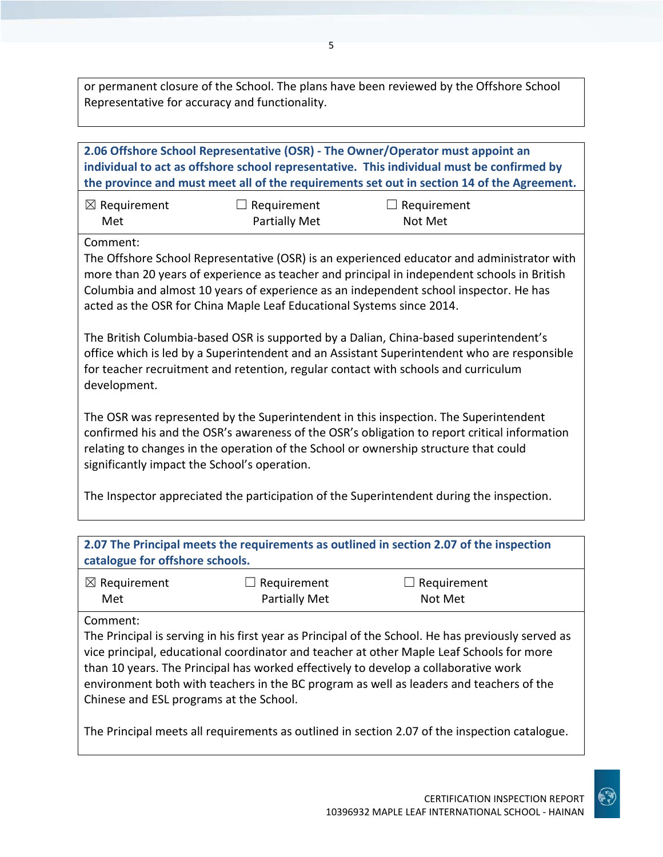or permanent closure of the School. The plans have been reviewed by the Offshore School Representative for accuracy and functionality.

|                                                     |                                                                       | 2.06 Offshore School Representative (OSR) - The Owner/Operator must appoint an<br>individual to act as offshore school representative. This individual must be confirmed by<br>the province and must meet all of the requirements set out in section 14 of the Agreement.                                                                                                        |
|-----------------------------------------------------|-----------------------------------------------------------------------|----------------------------------------------------------------------------------------------------------------------------------------------------------------------------------------------------------------------------------------------------------------------------------------------------------------------------------------------------------------------------------|
| $\boxtimes$ Requirement<br>Met                      | $\Box$ Requirement<br><b>Partially Met</b>                            | $\Box$ Requirement<br>Not Met                                                                                                                                                                                                                                                                                                                                                    |
| Comment:                                            | acted as the OSR for China Maple Leaf Educational Systems since 2014. | The Offshore School Representative (OSR) is an experienced educator and administrator with<br>more than 20 years of experience as teacher and principal in independent schools in British<br>Columbia and almost 10 years of experience as an independent school inspector. He has                                                                                               |
| development.                                        |                                                                       | The British Columbia-based OSR is supported by a Dalian, China-based superintendent's<br>office which is led by a Superintendent and an Assistant Superintendent who are responsible<br>for teacher recruitment and retention, regular contact with schools and curriculum                                                                                                       |
| significantly impact the School's operation.        |                                                                       | The OSR was represented by the Superintendent in this inspection. The Superintendent<br>confirmed his and the OSR's awareness of the OSR's obligation to report critical information<br>relating to changes in the operation of the School or ownership structure that could                                                                                                     |
|                                                     |                                                                       | The Inspector appreciated the participation of the Superintendent during the inspection.                                                                                                                                                                                                                                                                                         |
| catalogue for offshore schools.                     |                                                                       | 2.07 The Principal meets the requirements as outlined in section 2.07 of the inspection                                                                                                                                                                                                                                                                                          |
| $\boxtimes$ Requirement<br>Met                      | Requirement<br><b>Partially Met</b>                                   | Requirement<br>Not Met                                                                                                                                                                                                                                                                                                                                                           |
| Comment:<br>Chinese and ESL programs at the School. |                                                                       | The Principal is serving in his first year as Principal of the School. He has previously served as<br>vice principal, educational coordinator and teacher at other Maple Leaf Schools for more<br>than 10 years. The Principal has worked effectively to develop a collaborative work<br>environment both with teachers in the BC program as well as leaders and teachers of the |
|                                                     |                                                                       | The Principal meets all requirements as outlined in section 2.07 of the inspection catalogue.                                                                                                                                                                                                                                                                                    |

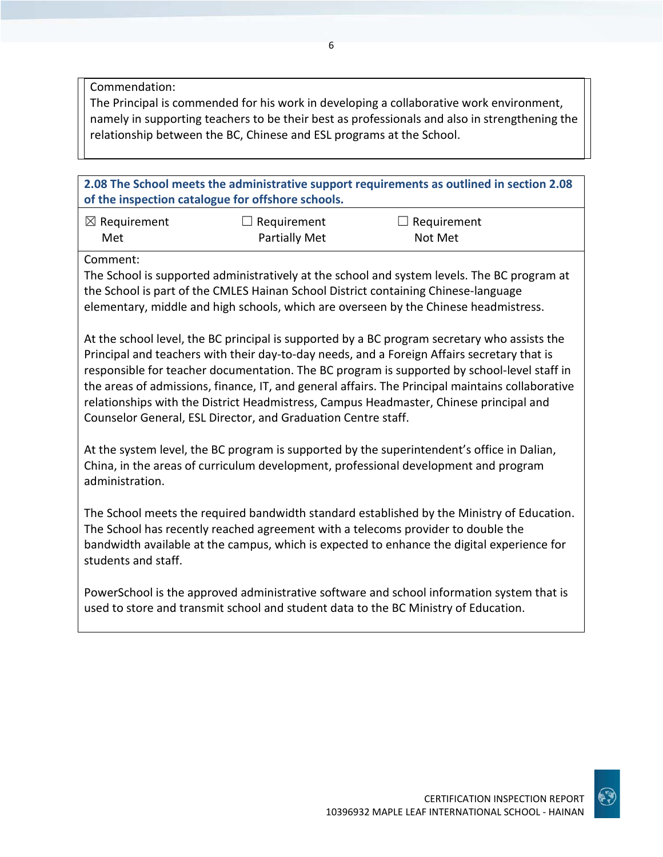Commendation:

The Principal is commended for his work in developing a collaborative work environment, namely in supporting teachers to be their best as professionals and also in strengthening the relationship between the BC, Chinese and ESL programs at the School.

**2.08 The School meets the administrative support requirements as outlined in section 2.08 of the inspection catalogue for offshore schools.**

| $\boxtimes$ Requirement | $\Box$ Requirement   | $\Box$ Requirement |
|-------------------------|----------------------|--------------------|
| Met                     | <b>Partially Met</b> | Not Met            |

Comment:

The School is supported administratively at the school and system levels. The BC program at the School is part of the CMLES Hainan School District containing Chinese-language elementary, middle and high schools, which are overseen by the Chinese headmistress.

At the school level, the BC principal is supported by a BC program secretary who assists the Principal and teachers with their day-to-day needs, and a Foreign Affairs secretary that is responsible for teacher documentation. The BC program is supported by school-level staff in the areas of admissions, finance, IT, and general affairs. The Principal maintains collaborative relationships with the District Headmistress, Campus Headmaster, Chinese principal and Counselor General, ESL Director, and Graduation Centre staff.

At the system level, the BC program is supported by the superintendent's office in Dalian, China, in the areas of curriculum development, professional development and program administration.

The School meets the required bandwidth standard established by the Ministry of Education. The School has recently reached agreement with a telecoms provider to double the bandwidth available at the campus, which is expected to enhance the digital experience for students and staff.

PowerSchool is the approved administrative software and school information system that is used to store and transmit school and student data to the BC Ministry of Education.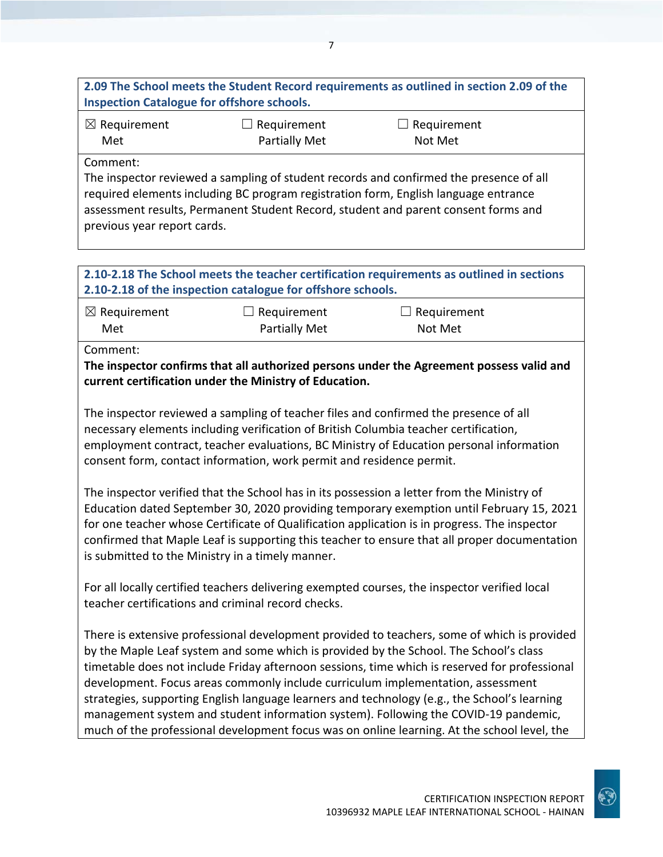## **2.09 The School meets the Student Record requirements as outlined in section 2.09 of the Inspection Catalogue for offshore schools.**

| $\boxtimes$ Requirement | $\Box$ Requirement   | $\Box$ Requirement |
|-------------------------|----------------------|--------------------|
| Met                     | <b>Partially Met</b> | Not Met            |

Comment:

The inspector reviewed a sampling of student records and confirmed the presence of all required elements including BC program registration form, English language entrance assessment results, Permanent Student Record, student and parent consent forms and previous year report cards.

### **2.10-2.18 The School meets the teacher certification requirements as outlined in sections 2.10-2.18 of the inspection catalogue for offshore schools.**

| $\boxtimes$ Requirement | $\Box$ Requirement   | $\Box$ Requirement |
|-------------------------|----------------------|--------------------|
| Met                     | <b>Partially Met</b> | Not Met            |

Comment:

**The inspector confirms that all authorized persons under the Agreement possess valid and current certification under the Ministry of Education.**

The inspector reviewed a sampling of teacher files and confirmed the presence of all necessary elements including verification of British Columbia teacher certification, employment contract, teacher evaluations, BC Ministry of Education personal information consent form, contact information, work permit and residence permit.

The inspector verified that the School has in its possession a letter from the Ministry of Education dated September 30, 2020 providing temporary exemption until February 15, 2021 for one teacher whose Certificate of Qualification application is in progress. The inspector confirmed that Maple Leaf is supporting this teacher to ensure that all proper documentation is submitted to the Ministry in a timely manner.

For all locally certified teachers delivering exempted courses, the inspector verified local teacher certifications and criminal record checks.

There is extensive professional development provided to teachers, some of which is provided by the Maple Leaf system and some which is provided by the School. The School's class timetable does not include Friday afternoon sessions, time which is reserved for professional development. Focus areas commonly include curriculum implementation, assessment strategies, supporting English language learners and technology (e.g., the School's learning management system and student information system). Following the COVID-19 pandemic, much of the professional development focus was on online learning. At the school level, the

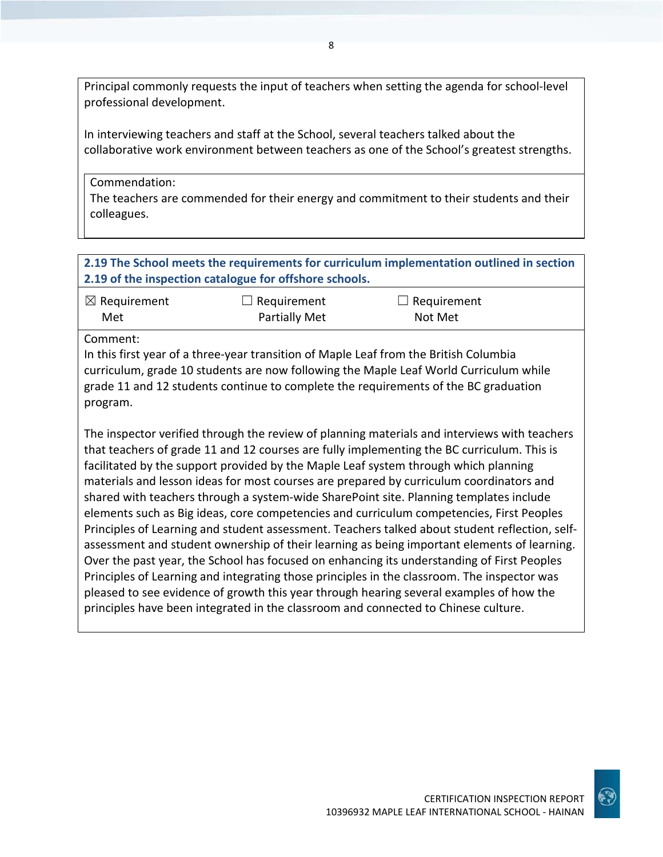Principal commonly requests the input of teachers when setting the agenda for school-level professional development.

In interviewing teachers and staff at the School, several teachers talked about the collaborative work environment between teachers as one of the School's greatest strengths.

Commendation:

The teachers are commended for their energy and commitment to their students and their colleagues.

### **2.19 The School meets the requirements for curriculum implementation outlined in section 2.19 of the inspection catalogue for offshore schools.**

| $\boxtimes$ Requirement | $\Box$ Requirement   | $\Box$ Requirement |
|-------------------------|----------------------|--------------------|
| Met                     | <b>Partially Met</b> | Not Met            |

Comment:

In this first year of a three-year transition of Maple Leaf from the British Columbia curriculum, grade 10 students are now following the Maple Leaf World Curriculum while grade 11 and 12 students continue to complete the requirements of the BC graduation program.

The inspector verified through the review of planning materials and interviews with teachers that teachers of grade 11 and 12 courses are fully implementing the BC curriculum. This is facilitated by the support provided by the Maple Leaf system through which planning materials and lesson ideas for most courses are prepared by curriculum coordinators and shared with teachers through a system-wide SharePoint site. Planning templates include elements such as Big ideas, core competencies and curriculum competencies, First Peoples Principles of Learning and student assessment. Teachers talked about student reflection, selfassessment and student ownership of their learning as being important elements of learning. Over the past year, the School has focused on enhancing its understanding of First Peoples Principles of Learning and integrating those principles in the classroom. The inspector was pleased to see evidence of growth this year through hearing several examples of how the principles have been integrated in the classroom and connected to Chinese culture.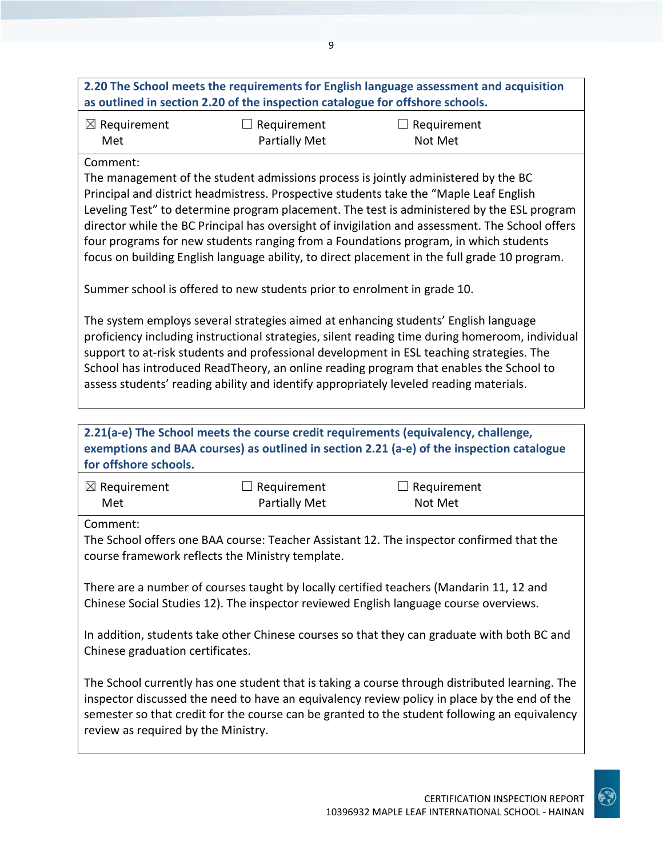|                                  | as outlined in section 2.20 of the inspection catalogue for offshore schools. | 2.20 The School meets the requirements for English language assessment and acquisition                                                                                                                                                                                                                                                                                                                                                                                                                                                                                 |
|----------------------------------|-------------------------------------------------------------------------------|------------------------------------------------------------------------------------------------------------------------------------------------------------------------------------------------------------------------------------------------------------------------------------------------------------------------------------------------------------------------------------------------------------------------------------------------------------------------------------------------------------------------------------------------------------------------|
| $\boxtimes$ Requirement<br>Met   | $\Box$ Requirement<br>Partially Met                                           | $\Box$ Requirement<br>Not Met                                                                                                                                                                                                                                                                                                                                                                                                                                                                                                                                          |
| Comment:                         | Summer school is offered to new students prior to enrolment in grade 10.      | The management of the student admissions process is jointly administered by the BC<br>Principal and district headmistress. Prospective students take the "Maple Leaf English<br>Leveling Test" to determine program placement. The test is administered by the ESL program<br>director while the BC Principal has oversight of invigilation and assessment. The School offers<br>four programs for new students ranging from a Foundations program, in which students<br>focus on building English language ability, to direct placement in the full grade 10 program. |
|                                  |                                                                               | The system employs several strategies aimed at enhancing students' English language<br>proficiency including instructional strategies, silent reading time during homeroom, individual<br>support to at-risk students and professional development in ESL teaching strategies. The<br>School has introduced ReadTheory, an online reading program that enables the School to<br>assess students' reading ability and identify appropriately leveled reading materials.                                                                                                 |
| for offshore schools.            |                                                                               | 2.21(a-e) The School meets the course credit requirements (equivalency, challenge,<br>exemptions and BAA courses) as outlined in section 2.21 (a-e) of the inspection catalogue                                                                                                                                                                                                                                                                                                                                                                                        |
| $\boxtimes$ Requirement<br>Met   | $\Box$ Requirement<br><b>Partially Met</b>                                    | $\Box$ Requirement<br>Not Met                                                                                                                                                                                                                                                                                                                                                                                                                                                                                                                                          |
| Comment:                         | course framework reflects the Ministry template                               | The School offers one BAA course: Teacher Assistant 12. The inspector confirmed that the                                                                                                                                                                                                                                                                                                                                                                                                                                                                               |
|                                  |                                                                               |                                                                                                                                                                                                                                                                                                                                                                                                                                                                                                                                                                        |
|                                  |                                                                               | There are a number of courses taught by locally certified teachers (Mandarin 11, 12 and<br>Chinese Social Studies 12). The inspector reviewed English language course overviews.                                                                                                                                                                                                                                                                                                                                                                                       |
| Chinese graduation certificates. |                                                                               | In addition, students take other Chinese courses so that they can graduate with both BC and                                                                                                                                                                                                                                                                                                                                                                                                                                                                            |

10396932 MAPLE LEAF INTERNATIONAL SCHOOL - HAINAN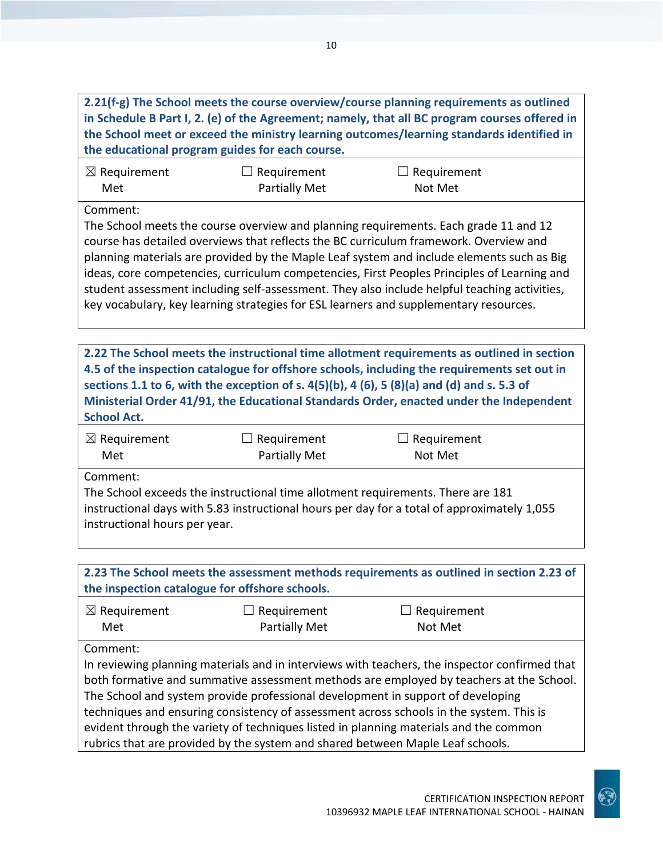| 2.21(f-g) The School meets the course overview/course planning requirements as outlined<br>in Schedule B Part I, 2. (e) of the Agreement; namely, that all BC program courses offered in<br>the School meet or exceed the ministry learning outcomes/learning standards identified in<br>the educational program guides for each course.                                                                                                                                                                                                                      |                                     |                                                                                                                                                                                                                                                                                                                                                                                                                                                                                                                                                                    |  |
|---------------------------------------------------------------------------------------------------------------------------------------------------------------------------------------------------------------------------------------------------------------------------------------------------------------------------------------------------------------------------------------------------------------------------------------------------------------------------------------------------------------------------------------------------------------|-------------------------------------|--------------------------------------------------------------------------------------------------------------------------------------------------------------------------------------------------------------------------------------------------------------------------------------------------------------------------------------------------------------------------------------------------------------------------------------------------------------------------------------------------------------------------------------------------------------------|--|
| $\boxtimes$ Requirement<br>Met                                                                                                                                                                                                                                                                                                                                                                                                                                                                                                                                | Requirement<br><b>Partially Met</b> | Requirement<br>Not Met                                                                                                                                                                                                                                                                                                                                                                                                                                                                                                                                             |  |
| Comment:                                                                                                                                                                                                                                                                                                                                                                                                                                                                                                                                                      |                                     | The School meets the course overview and planning requirements. Each grade 11 and 12<br>course has detailed overviews that reflects the BC curriculum framework. Overview and<br>planning materials are provided by the Maple Leaf system and include elements such as Big<br>ideas, core competencies, curriculum competencies, First Peoples Principles of Learning and<br>student assessment including self-assessment. They also include helpful teaching activities,<br>key vocabulary, key learning strategies for ESL learners and supplementary resources. |  |
|                                                                                                                                                                                                                                                                                                                                                                                                                                                                                                                                                               |                                     |                                                                                                                                                                                                                                                                                                                                                                                                                                                                                                                                                                    |  |
| <b>School Act.</b>                                                                                                                                                                                                                                                                                                                                                                                                                                                                                                                                            |                                     | 2.22 The School meets the instructional time allotment requirements as outlined in section<br>4.5 of the inspection catalogue for offshore schools, including the requirements set out in<br>sections 1.1 to 6, with the exception of s. $4(5)(b)$ , 4 (6), 5 (8)(a) and (d) and s. 5.3 of<br>Ministerial Order 41/91, the Educational Standards Order, enacted under the Independent                                                                                                                                                                              |  |
| $\boxtimes$ Requirement<br>Met                                                                                                                                                                                                                                                                                                                                                                                                                                                                                                                                | Requirement<br><b>Partially Met</b> | Requirement<br>Not Met                                                                                                                                                                                                                                                                                                                                                                                                                                                                                                                                             |  |
| Comment:<br>The School exceeds the instructional time allotment requirements. There are 181<br>instructional days with 5.83 instructional hours per day for a total of approximately 1,055<br>instructional hours per year.                                                                                                                                                                                                                                                                                                                                   |                                     |                                                                                                                                                                                                                                                                                                                                                                                                                                                                                                                                                                    |  |
|                                                                                                                                                                                                                                                                                                                                                                                                                                                                                                                                                               |                                     |                                                                                                                                                                                                                                                                                                                                                                                                                                                                                                                                                                    |  |
| 2.23 The School meets the assessment methods requirements as outlined in section 2.23 of<br>the inspection catalogue for offshore schools.                                                                                                                                                                                                                                                                                                                                                                                                                    |                                     |                                                                                                                                                                                                                                                                                                                                                                                                                                                                                                                                                                    |  |
| $\boxtimes$ Requirement<br>Met                                                                                                                                                                                                                                                                                                                                                                                                                                                                                                                                | Requirement<br><b>Partially Met</b> | Requirement<br>Not Met                                                                                                                                                                                                                                                                                                                                                                                                                                                                                                                                             |  |
| Comment:<br>In reviewing planning materials and in interviews with teachers, the inspector confirmed that<br>both formative and summative assessment methods are employed by teachers at the School.<br>The School and system provide professional development in support of developing<br>techniques and ensuring consistency of assessment across schools in the system. This is<br>evident through the variety of techniques listed in planning materials and the common<br>rubrics that are provided by the system and shared between Maple Leaf schools. |                                     |                                                                                                                                                                                                                                                                                                                                                                                                                                                                                                                                                                    |  |

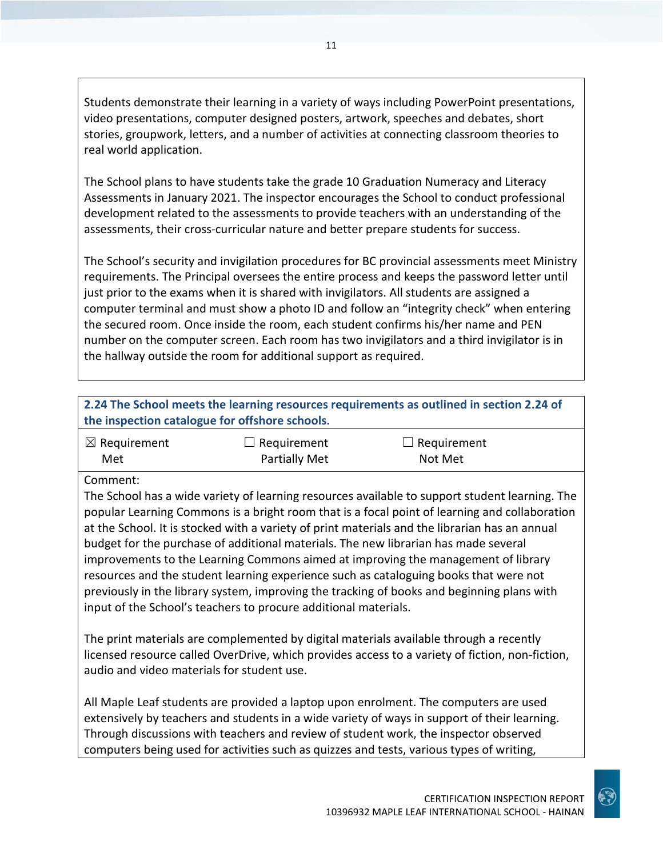Students demonstrate their learning in a variety of ways including PowerPoint presentations, video presentations, computer designed posters, artwork, speeches and debates, short stories, groupwork, letters, and a number of activities at connecting classroom theories to real world application.

The School plans to have students take the grade 10 Graduation Numeracy and Literacy Assessments in January 2021. The inspector encourages the School to conduct professional development related to the assessments to provide teachers with an understanding of the assessments, their cross-curricular nature and better prepare students for success.

The School's security and invigilation procedures for BC provincial assessments meet Ministry requirements. The Principal oversees the entire process and keeps the password letter until just prior to the exams when it is shared with invigilators. All students are assigned a computer terminal and must show a photo ID and follow an "integrity check" when entering the secured room. Once inside the room, each student confirms his/her name and PEN number on the computer screen. Each room has two invigilators and a third invigilator is in the hallway outside the room for additional support as required.

| 2.24 The School meets the learning resources requirements as outlined in section 2.24 of<br>the inspection catalogue for offshore schools. |                      |                    |  |
|--------------------------------------------------------------------------------------------------------------------------------------------|----------------------|--------------------|--|
| $\boxtimes$ Requirement                                                                                                                    | $\Box$ Requirement   | $\Box$ Requirement |  |
| Met<br>Common                                                                                                                              | <b>Partially Met</b> | Not Met            |  |

#### Comment:

The School has a wide variety of learning resources available to support student learning. The popular Learning Commons is a bright room that is a focal point of learning and collaboration at the School. It is stocked with a variety of print materials and the librarian has an annual budget for the purchase of additional materials. The new librarian has made several improvements to the Learning Commons aimed at improving the management of library resources and the student learning experience such as cataloguing books that were not previously in the library system, improving the tracking of books and beginning plans with input of the School's teachers to procure additional materials.

The print materials are complemented by digital materials available through a recently licensed resource called OverDrive, which provides access to a variety of fiction, non-fiction, audio and video materials for student use.

All Maple Leaf students are provided a laptop upon enrolment. The computers are used extensively by teachers and students in a wide variety of ways in support of their learning. Through discussions with teachers and review of student work, the inspector observed computers being used for activities such as quizzes and tests, various types of writing,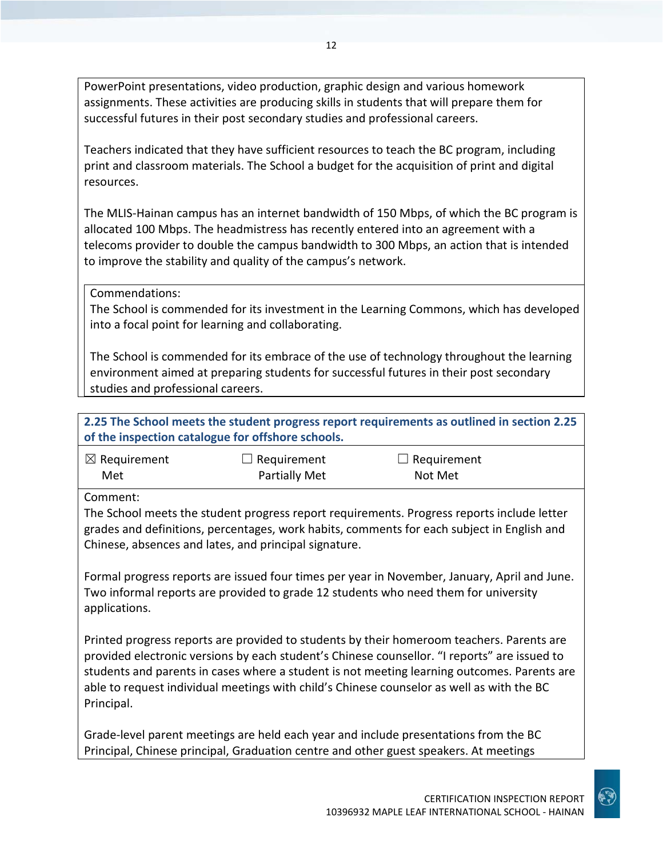PowerPoint presentations, video production, graphic design and various homework assignments. These activities are producing skills in students that will prepare them for successful futures in their post secondary studies and professional careers.

Teachers indicated that they have sufficient resources to teach the BC program, including print and classroom materials. The School a budget for the acquisition of print and digital resources.

The MLIS-Hainan campus has an internet bandwidth of 150 Mbps, of which the BC program is allocated 100 Mbps. The headmistress has recently entered into an agreement with a telecoms provider to double the campus bandwidth to 300 Mbps, an action that is intended to improve the stability and quality of the campus's network.

Commendations:

The School is commended for its investment in the Learning Commons, which has developed into a focal point for learning and collaborating.

The School is commended for its embrace of the use of technology throughout the learning environment aimed at preparing students for successful futures in their post secondary studies and professional careers.

**2.25 The School meets the student progress report requirements as outlined in section 2.25 of the inspection catalogue for offshore schools.**

| $\boxtimes$ Requirement | $\Box$ Requirement   | $\Box$ Requirement |
|-------------------------|----------------------|--------------------|
| Met                     | <b>Partially Met</b> | Not Met            |

Comment:

The School meets the student progress report requirements. Progress reports include letter grades and definitions, percentages, work habits, comments for each subject in English and Chinese, absences and lates, and principal signature.

Formal progress reports are issued four times per year in November, January, April and June. Two informal reports are provided to grade 12 students who need them for university applications.

Printed progress reports are provided to students by their homeroom teachers. Parents are provided electronic versions by each student's Chinese counsellor. "I reports" are issued to students and parents in cases where a student is not meeting learning outcomes. Parents are able to request individual meetings with child's Chinese counselor as well as with the BC Principal.

Grade-level parent meetings are held each year and include presentations from the BC Principal, Chinese principal, Graduation centre and other guest speakers. At meetings

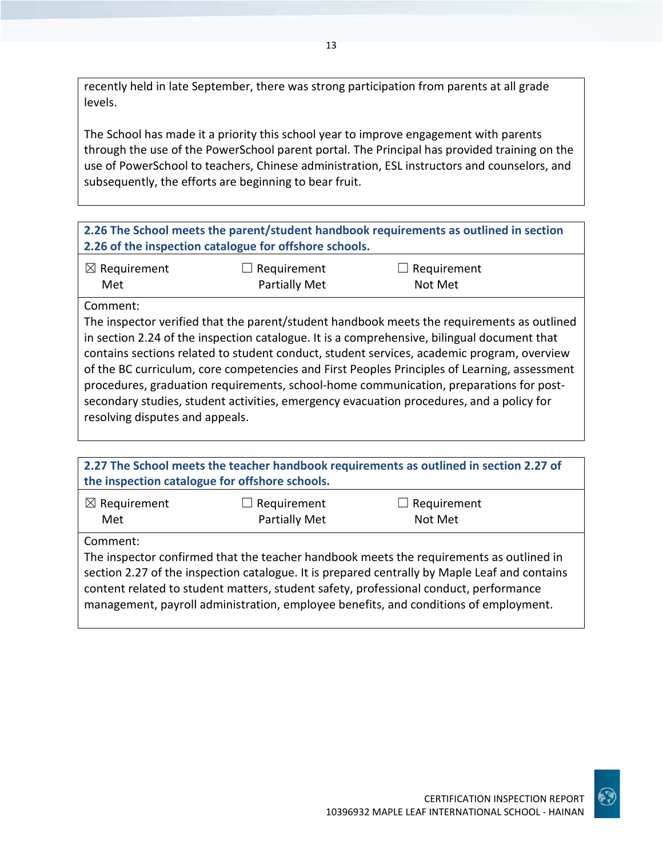recently held in late September, there was strong participation from parents at all grade levels.

The School has made it a priority this school year to improve engagement with parents through the use of the PowerSchool parent portal. The Principal has provided training on the use of PowerSchool to teachers, Chinese administration, ESL instructors and counselors, and subsequently, the efforts are beginning to bear fruit.

**2.26 The School meets the parent/student handbook requirements as outlined in section 2.26 of the inspection catalogue for offshore schools.**

| $\boxtimes$ Requirement | $\Box$ Requirement | $\Box$ Requirement |
|-------------------------|--------------------|--------------------|
| Met                     | Partially Met      | Not Met            |

Comment:

The inspector verified that the parent/student handbook meets the requirements as outlined in section 2.24 of the inspection catalogue. It is a comprehensive, bilingual document that contains sections related to student conduct, student services, academic program, overview of the BC curriculum, core competencies and First Peoples Principles of Learning, assessment procedures, graduation requirements, school-home communication, preparations for postsecondary studies, student activities, emergency evacuation procedures, and a policy for resolving disputes and appeals.

| 2.27 The School meets the teacher handbook requirements as outlined in section 2.27 of<br>the inspection catalogue for offshore schools.                                                                                                                                                                                                                                              |                              |                               |  |
|---------------------------------------------------------------------------------------------------------------------------------------------------------------------------------------------------------------------------------------------------------------------------------------------------------------------------------------------------------------------------------------|------------------------------|-------------------------------|--|
| $\boxtimes$ Requirement<br>Met                                                                                                                                                                                                                                                                                                                                                        | Requirement<br>Partially Met | $\Box$ Requirement<br>Not Met |  |
| Comment:<br>The inspector confirmed that the teacher handbook meets the requirements as outlined in<br>section 2.27 of the inspection catalogue. It is prepared centrally by Maple Leaf and contains<br>content related to student matters, student safety, professional conduct, performance<br>management, payroll administration, employee benefits, and conditions of employment. |                              |                               |  |